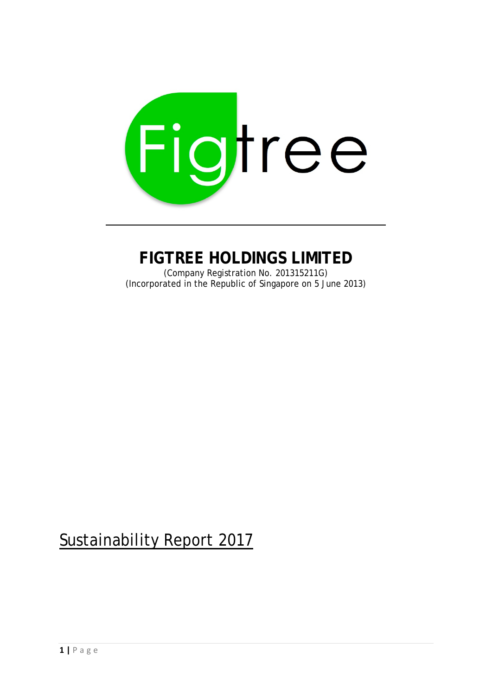

# **FIGTREE HOLDINGS LIMITED**

(Company Registration No. 201315211G) (Incorporated in the Republic of Singapore on 5 June 2013)

# Sustainability Report 2017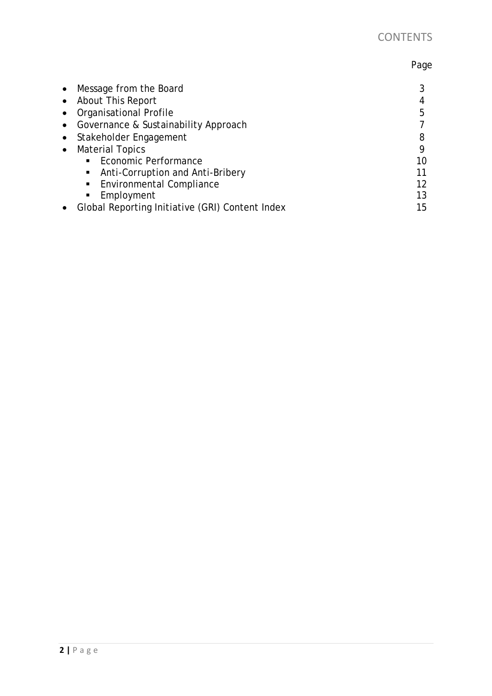# Page

| • Message from the Board                        |    |
|-------------------------------------------------|----|
| • About This Report                             |    |
| • Organisational Profile                        | 5  |
| • Governance & Sustainability Approach          |    |
| • Stakeholder Engagement                        | 8  |
| • Material Topics                               | Q  |
| ■ Economic Performance                          | 10 |
| • Anti-Corruption and Anti-Bribery              |    |
| ■ Environmental Compliance                      | 12 |
| Employment<br>$\blacksquare$                    | 13 |
| Global Reporting Initiative (GRI) Content Index | 15 |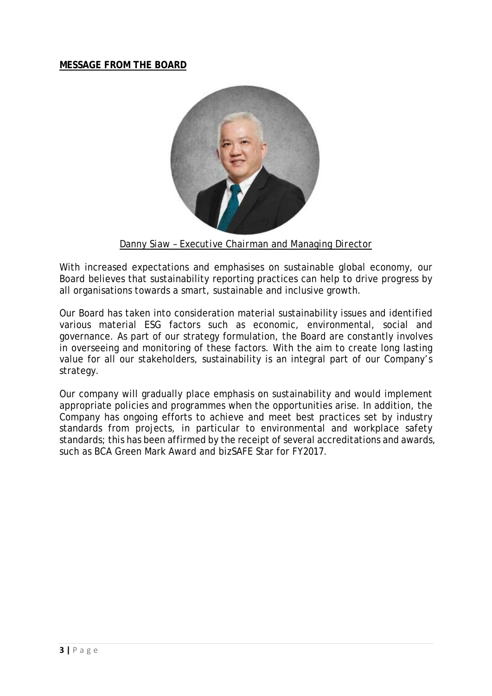#### **MESSAGE FROM THE BOARD**



*Danny Siaw – Executive Chairman and Managing Director*

With increased expectations and emphasises on sustainable global economy, our Board believes that sustainability reporting practices can help to drive progress by all organisations towards a smart, sustainable and inclusive growth.

Our Board has taken into consideration material sustainability issues and identified various material ESG factors such as economic, environmental, social and governance. As part of our strategy formulation, the Board are constantly involves in overseeing and monitoring of these factors. With the aim to create long lasting value for all our stakeholders, sustainability is an integral part of our Company's strategy.

Our company will gradually place emphasis on sustainability and would implement appropriate policies and programmes when the opportunities arise. In addition, the Company has ongoing efforts to achieve and meet best practices set by industry standards from projects, in particular to environmental and workplace safety standards; this has been affirmed by the receipt of several accreditations and awards, such as BCA Green Mark Award and bizSAFE Star for FY2017.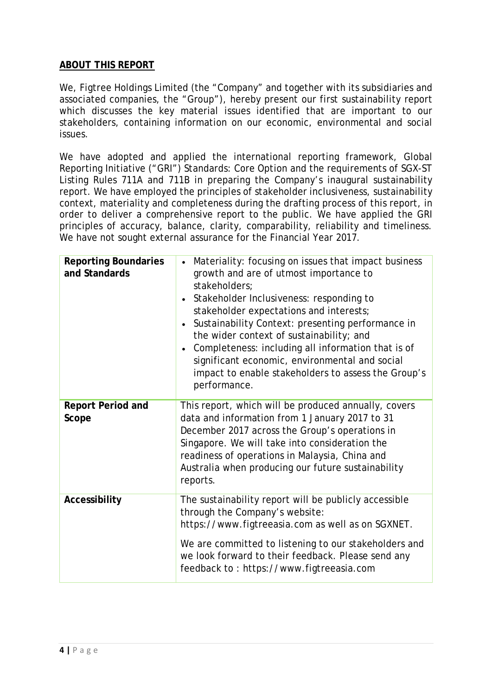#### **ABOUT THIS REPORT**

We, Figtree Holdings Limited (the "Company" and together with its subsidiaries and associated companies, the "Group"), hereby present our first sustainability report which discusses the key material issues identified that are important to our stakeholders, containing information on our economic, environmental and social issues.

We have adopted and applied the international reporting framework, Global Reporting Initiative ("GRI") Standards: Core Option and the requirements of SGX-ST Listing Rules 711A and 711B in preparing the Company's inaugural sustainability report. We have employed the principles of stakeholder inclusiveness, sustainability context, materiality and completeness during the drafting process of this report, in order to deliver a comprehensive report to the public. We have applied the GRI principles of accuracy, balance, clarity, comparability, reliability and timeliness. We have not sought external assurance for the Financial Year 2017.

| <b>Reporting Boundaries</b><br>and Standards | Materiality: focusing on issues that impact business<br>growth and are of utmost importance to<br>stakeholders;<br>Stakeholder Inclusiveness: responding to<br>stakeholder expectations and interests;<br>Sustainability Context: presenting performance in<br>the wider context of sustainability; and<br>Completeness: including all information that is of<br>significant economic, environmental and social<br>impact to enable stakeholders to assess the Group's<br>performance. |
|----------------------------------------------|----------------------------------------------------------------------------------------------------------------------------------------------------------------------------------------------------------------------------------------------------------------------------------------------------------------------------------------------------------------------------------------------------------------------------------------------------------------------------------------|
| <b>Report Period and</b><br>Scope            | This report, which will be produced annually, covers<br>data and information from 1 January 2017 to 31<br>December 2017 across the Group's operations in<br>Singapore. We will take into consideration the<br>readiness of operations in Malaysia, China and<br>Australia when producing our future sustainability<br>reports.                                                                                                                                                         |
| Accessibility                                | The sustainability report will be publicly accessible<br>through the Company's website:<br>https://www.figtreeasia.com as well as on SGXNET.<br>We are committed to listening to our stakeholders and<br>we look forward to their feedback. Please send any<br>feedback to: https://www.figtreeasia.com                                                                                                                                                                                |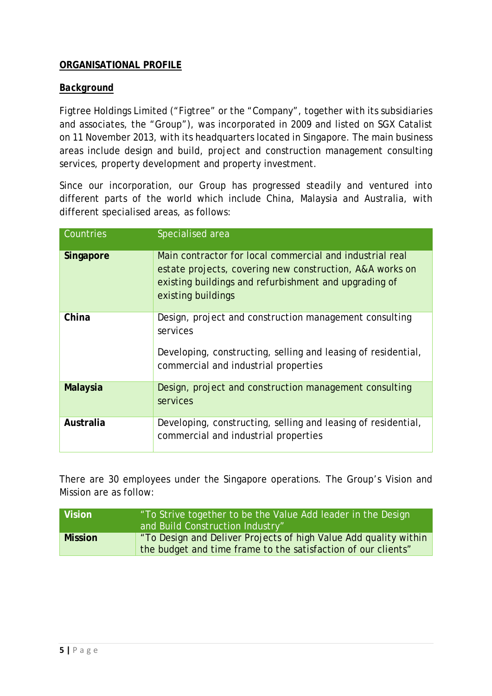### **ORGANISATIONAL PROFILE**

#### *Background*

Figtree Holdings Limited ("Figtree" or the "Company", together with its subsidiaries and associates, the "Group"), was incorporated in 2009 and listed on SGX Catalist on 11 November 2013, with its headquarters located in Singapore. The main business areas include design and build, project and construction management consulting services, property development and property investment.

Since our incorporation, our Group has progressed steadily and ventured into different parts of the world which include China, Malaysia and Australia, with different specialised areas, as follows:

| Countries       | Specialised area                                                                                                                                                                                    |
|-----------------|-----------------------------------------------------------------------------------------------------------------------------------------------------------------------------------------------------|
| Singapore       | Main contractor for local commercial and industrial real<br>estate projects, covering new construction, A&A works on<br>existing buildings and refurbishment and upgrading of<br>existing buildings |
| China           | Design, project and construction management consulting<br>services<br>Developing, constructing, selling and leasing of residential,<br>commercial and industrial properties                         |
| <b>Malaysia</b> | Design, project and construction management consulting<br>services                                                                                                                                  |
| Australia       | Developing, constructing, selling and leasing of residential,<br>commercial and industrial properties                                                                                               |

There are 30 employees under the Singapore operations. The Group's Vision and Mission are as follow:

| Vision         | To Strive together to be the Value Add leader in the Design<br>and Build Construction Industry"                                   |
|----------------|-----------------------------------------------------------------------------------------------------------------------------------|
| <b>Mission</b> | "To Design and Deliver Projects of high Value Add quality within<br>the budget and time frame to the satisfaction of our clients" |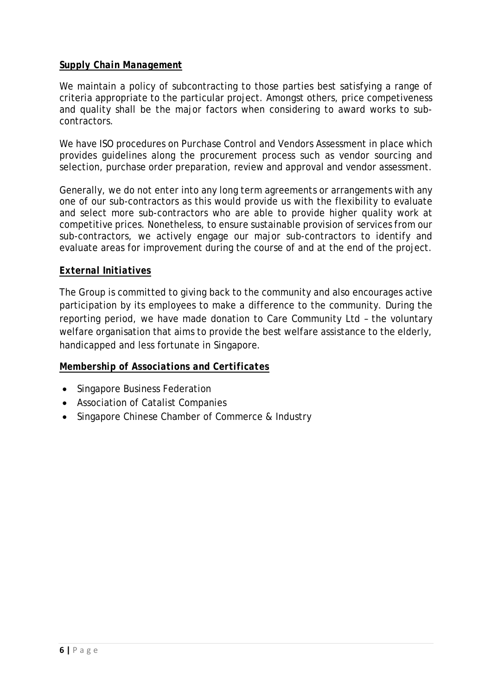#### *Supply Chain Management*

We maintain a policy of subcontracting to those parties best satisfying a range of criteria appropriate to the particular project. Amongst others, price competiveness and quality shall be the major factors when considering to award works to subcontractors.

We have ISO procedures on Purchase Control and Vendors Assessment in place which provides guidelines along the procurement process such as vendor sourcing and selection, purchase order preparation, review and approval and vendor assessment.

Generally, we do not enter into any long term agreements or arrangements with any one of our sub-contractors as this would provide us with the flexibility to evaluate and select more sub-contractors who are able to provide higher quality work at competitive prices. Nonetheless, to ensure sustainable provision of services from our sub-contractors, we actively engage our major sub-contractors to identify and evaluate areas for improvement during the course of and at the end of the project.

#### *External Initiatives*

The Group is committed to giving back to the community and also encourages active participation by its employees to make a difference to the community. During the reporting period, we have made donation to Care Community Ltd – the voluntary welfare organisation that aims to provide the best welfare assistance to the elderly, handicapped and less fortunate in Singapore.

#### *Membership of Associations and Certificates*

- Singapore Business Federation
- Association of Catalist Companies
- Singapore Chinese Chamber of Commerce & Industry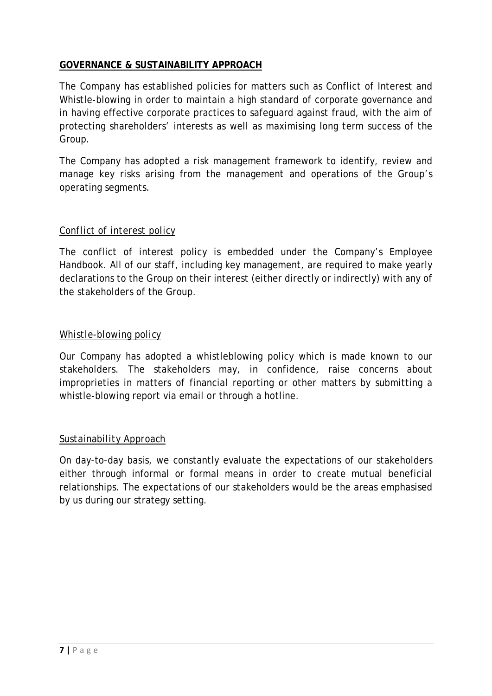### **GOVERNANCE & SUSTAINABILITY APPROACH**

The Company has established policies for matters such as Conflict of Interest and Whistle-blowing in order to maintain a high standard of corporate governance and in having effective corporate practices to safeguard against fraud, with the aim of protecting shareholders' interests as well as maximising long term success of the Group.

The Company has adopted a risk management framework to identify, review and manage key risks arising from the management and operations of the Group's operating segments.

### *Conflict of interest policy*

The conflict of interest policy is embedded under the Company's Employee Handbook. All of our staff, including key management, are required to make yearly declarations to the Group on their interest (either directly or indirectly) with any of the stakeholders of the Group.

#### *Whistle-blowing policy*

Our Company has adopted a whistleblowing policy which is made known to our stakeholders. The stakeholders may, in confidence, raise concerns about improprieties in matters of financial reporting or other matters by submitting a whistle-blowing report via email or through a hotline.

#### *Sustainability Approach*

On day-to-day basis, we constantly evaluate the expectations of our stakeholders either through informal or formal means in order to create mutual beneficial relationships. The expectations of our stakeholders would be the areas emphasised by us during our strategy setting.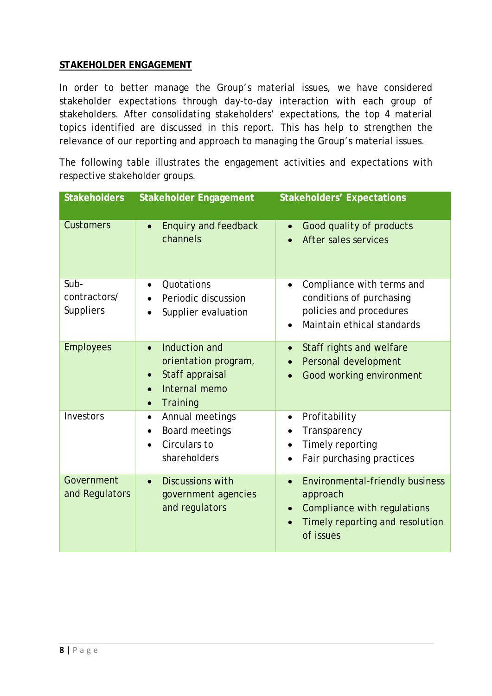#### **STAKEHOLDER ENGAGEMENT**

In order to better manage the Group's material issues, we have considered stakeholder expectations through day-to-day interaction with each group of stakeholders. After consolidating stakeholders' expectations, the top 4 material topics identified are discussed in this report. This has help to strengthen the relevance of our reporting and approach to managing the Group's material issues.

The following table illustrates the engagement activities and expectations with respective stakeholder groups.

| <b>Stakeholders</b>                      | <b>Stakeholder Engagement</b>                                                                                                             | <b>Stakeholders' Expectations</b>                                                                                                              |
|------------------------------------------|-------------------------------------------------------------------------------------------------------------------------------------------|------------------------------------------------------------------------------------------------------------------------------------------------|
| <b>Customers</b>                         | <b>Enquiry and feedback</b><br>$\bullet$<br>channels                                                                                      | Good quality of products<br>$\bullet$<br>After sales services                                                                                  |
| Sub-<br>contractors/<br><b>Suppliers</b> | Quotations<br>$\bullet$<br>Periodic discussion<br>$\bullet$<br>Supplier evaluation                                                        | Compliance with terms and<br>$\bullet$<br>conditions of purchasing<br>policies and procedures<br>Maintain ethical standards                    |
| <b>Employees</b>                         | Induction and<br>$\bullet$<br>orientation program,<br>Staff appraisal<br>$\bullet$<br>Internal memo<br>$\bullet$<br>Training<br>$\bullet$ | Staff rights and welfare<br>$\bullet$<br>Personal development<br>$\bullet$<br>Good working environment                                         |
| Investors                                | Annual meetings<br>$\bullet$<br>Board meetings<br>$\bullet$<br>Circulars to<br>$\bullet$<br>shareholders                                  | Profitability<br>Transparency<br>Timely reporting<br>Fair purchasing practices<br>$\bullet$                                                    |
| Government<br>and Regulators             | <b>Discussions with</b><br>$\bullet$<br>government agencies<br>and regulators                                                             | <b>Environmental-friendly business</b><br>$\bullet$<br>approach<br>Compliance with regulations<br>Timely reporting and resolution<br>of issues |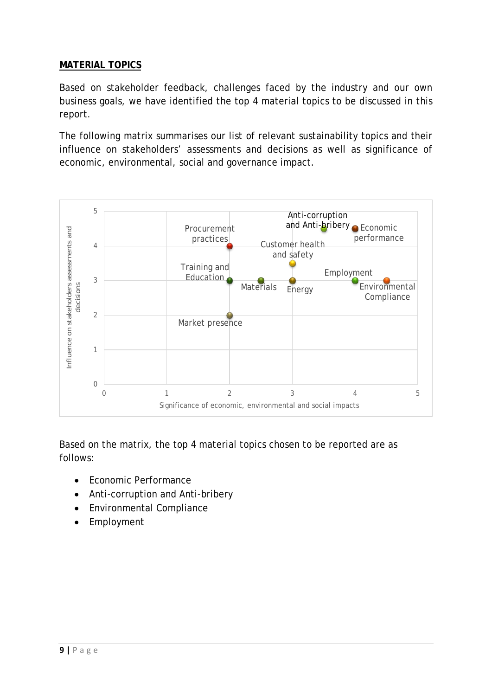#### **MATERIAL TOPICS**

Based on stakeholder feedback, challenges faced by the industry and our own business goals, we have identified the top 4 material topics to be discussed in this report.

The following matrix summarises our list of relevant sustainability topics and their influence on stakeholders' assessments and decisions as well as significance of economic, environmental, social and governance impact.



Based on the matrix, the top 4 material topics chosen to be reported are as follows:

- Economic Performance
- Anti-corruption and Anti-bribery
- Environmental Compliance
- Employment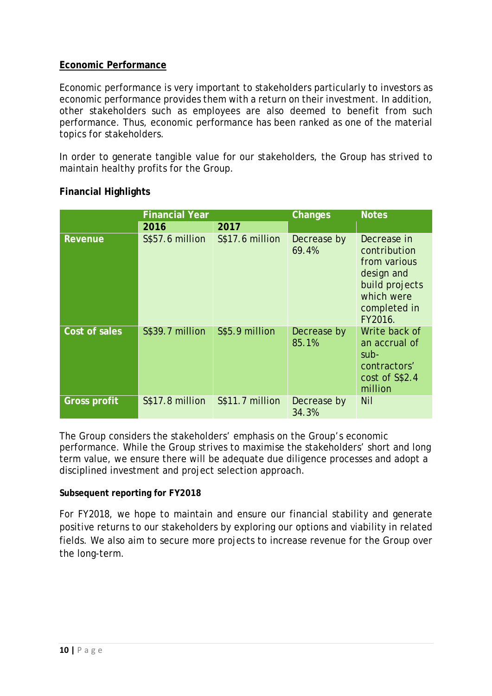#### **Economic Performance**

Economic performance is very important to stakeholders particularly to investors as economic performance provides them with a return on their investment. In addition, other stakeholders such as employees are also deemed to benefit from such performance. Thus, economic performance has been ranked as one of the material topics for stakeholders.

In order to generate tangible value for our stakeholders, the Group has strived to maintain healthy profits for the Group.

| <b>Financial Year</b> |                 | Changes         | <b>Notes</b>         |                                                                                                                      |
|-----------------------|-----------------|-----------------|----------------------|----------------------------------------------------------------------------------------------------------------------|
|                       | 2016            | 2017            |                      |                                                                                                                      |
| Revenue               | S\$57.6 million | S\$17.6 million | Decrease by<br>69.4% | Decrease in<br>contribution<br>from various<br>design and<br>build projects<br>which were<br>completed in<br>FY2016. |
| Cost of sales         | S\$39.7 million | S\$5.9 million  | Decrease by<br>85.1% | Write back of<br>an accrual of<br>sub-<br>contractors'<br>cost of S\$2.4<br>million                                  |
| <b>Gross profit</b>   | S\$17.8 million | S\$11.7 million | Decrease by<br>34.3% | Nil                                                                                                                  |

#### **Financial Highlights**

The Group considers the stakeholders' emphasis on the Group's economic performance. While the Group strives to maximise the stakeholders' short and long term value, we ensure there will be adequate due diligence processes and adopt a disciplined investment and project selection approach.

#### **Subsequent reporting for FY2018**

For FY2018, we hope to maintain and ensure our financial stability and generate positive returns to our stakeholders by exploring our options and viability in related fields. We also aim to secure more projects to increase revenue for the Group over the long-term.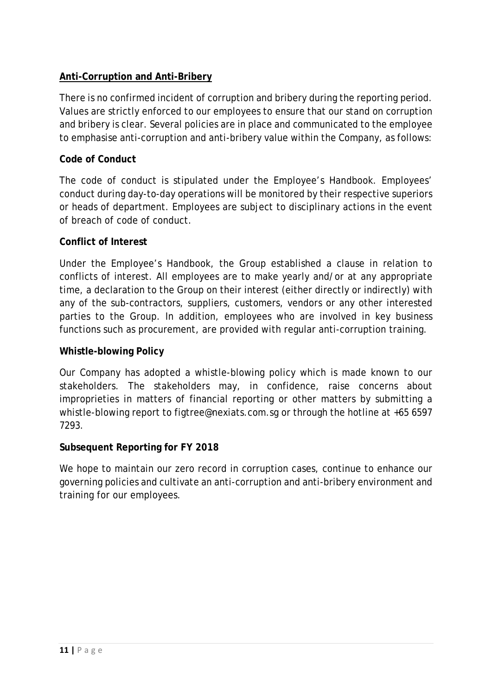### **Anti-Corruption and Anti-Bribery**

There is no confirmed incident of corruption and bribery during the reporting period. Values are strictly enforced to our employees to ensure that our stand on corruption and bribery is clear. Several policies are in place and communicated to the employee to emphasise anti-corruption and anti-bribery value within the Company, as follows:

#### **Code of Conduct**

The code of conduct is stipulated under the Employee's Handbook. Employees' conduct during day-to-day operations will be monitored by their respective superiors or heads of department. Employees are subject to disciplinary actions in the event of breach of code of conduct.

#### **Conflict of Interest**

Under the Employee's Handbook, the Group established a clause in relation to conflicts of interest. All employees are to make yearly and/or at any appropriate time, a declaration to the Group on their interest (either directly or indirectly) with any of the sub-contractors, suppliers, customers, vendors or any other interested parties to the Group. In addition, employees who are involved in key business functions such as procurement, are provided with regular anti-corruption training.

#### **Whistle-blowing Policy**

Our Company has adopted a whistle-blowing policy which is made known to our stakeholders. The stakeholders may, in confidence, raise concerns about improprieties in matters of financial reporting or other matters by submitting a whistle-blowing report to figtree@nexiats.com.sg or through the hotline at +65 6597 7293.

#### **Subsequent Reporting for FY 2018**

We hope to maintain our zero record in corruption cases, continue to enhance our governing policies and cultivate an anti-corruption and anti-bribery environment and training for our employees.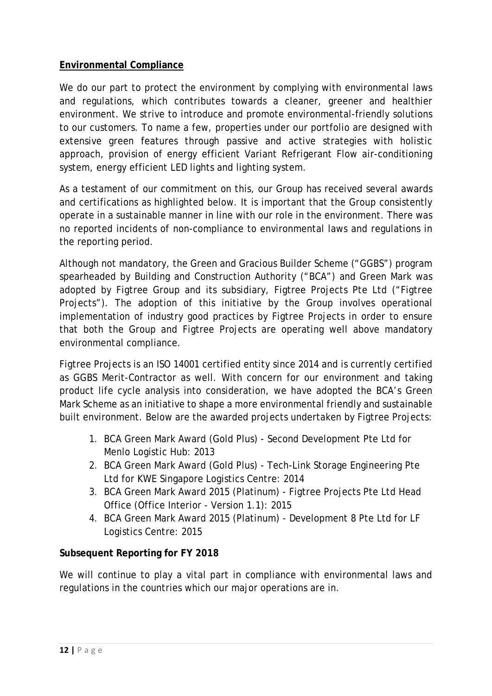### **Environmental Compliance**

We do our part to protect the environment by complying with environmental laws and regulations, which contributes towards a cleaner, greener and healthier environment. We strive to introduce and promote environmental-friendly solutions to our customers. To name a few, properties under our portfolio are designed with extensive green features through passive and active strategies with holistic approach, provision of energy efficient Variant Refrigerant Flow air-conditioning system, energy efficient LED lights and lighting system.

As a testament of our commitment on this, our Group has received several awards and certifications as highlighted below. It is important that the Group consistently operate in a sustainable manner in line with our role in the environment. There was no reported incidents of non-compliance to environmental laws and regulations in the reporting period.

Although not mandatory, the Green and Gracious Builder Scheme ("GGBS") program spearheaded by Building and Construction Authority ("BCA") and Green Mark was adopted by Figtree Group and its subsidiary, Figtree Projects Pte Ltd ("Figtree Projects"). The adoption of this initiative by the Group involves operational implementation of industry good practices by Figtree Projects in order to ensure that both the Group and Figtree Projects are operating well above mandatory environmental compliance.

Figtree Projects is an ISO 14001 certified entity since 2014 and is currently certified as GGBS Merit-Contractor as well. With concern for our environment and taking product life cycle analysis into consideration, we have adopted the BCA's Green Mark Scheme as an initiative to shape a more environmental friendly and sustainable built environment. Below are the awarded projects undertaken by Figtree Projects:

- 1. BCA Green Mark Award (Gold Plus) Second Development Pte Ltd for Menlo Logistic Hub: 2013
- 2. BCA Green Mark Award (Gold Plus) Tech-Link Storage Engineering Pte Ltd for KWE Singapore Logistics Centre: 2014
- 3. BCA Green Mark Award 2015 (Platinum) Figtree Projects Pte Ltd Head Office (Office Interior - Version 1.1): 2015
- 4. BCA Green Mark Award 2015 (Platinum) Development 8 Pte Ltd for LF Logistics Centre: 2015

#### **Subsequent Reporting for FY 2018**

We will continue to play a vital part in compliance with environmental laws and regulations in the countries which our major operations are in.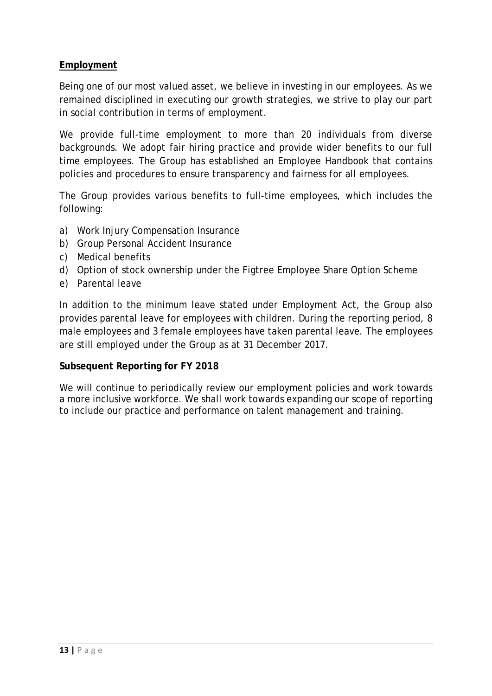#### **Employment**

Being one of our most valued asset, we believe in investing in our employees. As we remained disciplined in executing our growth strategies, we strive to play our part in social contribution in terms of employment.

We provide full-time employment to more than 20 individuals from diverse backgrounds. We adopt fair hiring practice and provide wider benefits to our full time employees. The Group has established an Employee Handbook that contains policies and procedures to ensure transparency and fairness for all employees.

The Group provides various benefits to full-time employees, which includes the following:

- a) Work Injury Compensation Insurance
- b) Group Personal Accident Insurance
- c) Medical benefits
- d) Option of stock ownership under the Figtree Employee Share Option Scheme
- e) Parental leave

In addition to the minimum leave stated under Employment Act, the Group also provides parental leave for employees with children. During the reporting period, 8 male employees and 3 female employees have taken parental leave. The employees are still employed under the Group as at 31 December 2017.

#### **Subsequent Reporting for FY 2018**

We will continue to periodically review our employment policies and work towards a more inclusive workforce. We shall work towards expanding our scope of reporting to include our practice and performance on talent management and training.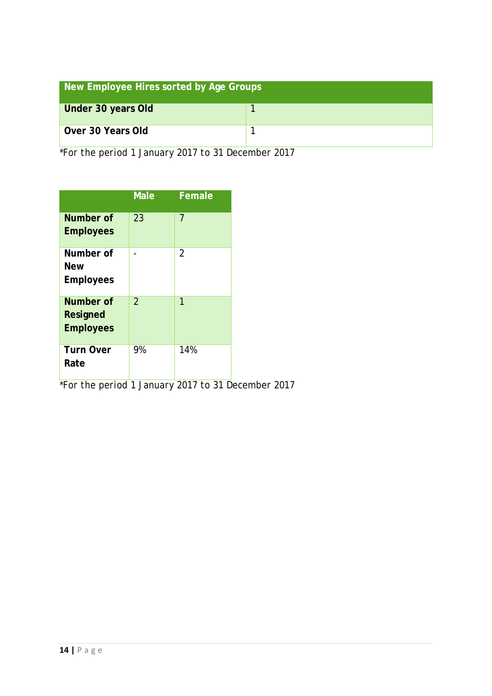| New Employee Hires sorted by Age Groups |  |  |  |
|-----------------------------------------|--|--|--|
| Under 30 years Old                      |  |  |  |
| Over 30 Years Old                       |  |  |  |

*\*For the period 1 January 2017 to 31 December 2017*

|                                             | <b>Male</b>              | Female         |
|---------------------------------------------|--------------------------|----------------|
| Number of<br><b>Employees</b>               | 23                       | 7              |
| Number of<br><b>New</b><br><b>Employees</b> |                          | $\overline{2}$ |
| Number of<br>Resigned<br><b>Employees</b>   | $\overline{\mathcal{L}}$ | 1              |
| <b>Turn Over</b><br>Rate                    | 9%                       | 14%            |

*\*For the period 1 January 2017 to 31 December 2017*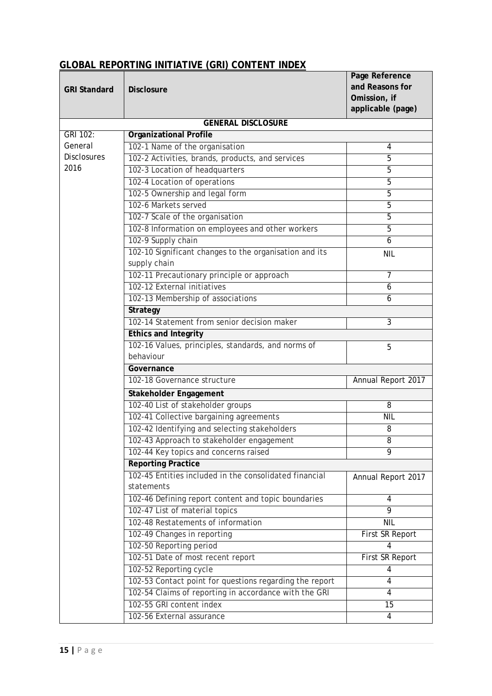## **GLOBAL REPORTING INITIATIVE (GRI) CONTENT INDEX**

| <b>GRI Standard</b>      | <b>Disclosure</b>                                                    | Page Reference<br>and Reasons for |
|--------------------------|----------------------------------------------------------------------|-----------------------------------|
|                          |                                                                      | Omission, if                      |
|                          |                                                                      | applicable (page)                 |
|                          | <b>GENERAL DISCLOSURE</b>                                            |                                   |
| GRI 102:                 | <b>Organizational Profile</b>                                        |                                   |
| General                  | 102-1 Name of the organisation                                       | 4                                 |
| <b>Disclosures</b>       | 102-2 Activities, brands, products, and services                     | 5                                 |
| 2016                     | 102-3 Location of headquarters                                       | 5                                 |
|                          | 102-4 Location of operations                                         | 5                                 |
|                          | 102-5 Ownership and legal form                                       | 5                                 |
|                          | 102-6 Markets served                                                 | 5                                 |
|                          | 102-7 Scale of the organisation                                      | 5                                 |
|                          | 102-8 Information on employees and other workers                     | 5                                 |
|                          | 102-9 Supply chain                                                   | 6                                 |
|                          | 102-10 Significant changes to the organisation and its               | <b>NIL</b>                        |
|                          | supply chain                                                         |                                   |
|                          | 102-11 Precautionary principle or approach                           | $\overline{7}$                    |
|                          | 102-12 External initiatives                                          | 6                                 |
|                          | 102-13 Membership of associations                                    | 6                                 |
| Strategy                 |                                                                      |                                   |
|                          | 102-14 Statement from senior decision maker                          | $\overline{3}$                    |
| Ethics and Integrity     |                                                                      |                                   |
|                          | 102-16 Values, principles, standards, and norms of                   | 5                                 |
|                          | behaviour                                                            |                                   |
|                          | Governance                                                           |                                   |
|                          | 102-18 Governance structure                                          | Annual Report 2017                |
| Stakeholder Engagement   |                                                                      |                                   |
|                          | 102-40 List of stakeholder groups                                    | 8                                 |
|                          | 102-41 Collective bargaining agreements                              | <b>NIL</b>                        |
|                          | 102-42 Identifying and selecting stakeholders                        | 8                                 |
|                          | 102-43 Approach to stakeholder engagement                            | 8                                 |
|                          | 102-44 Key topics and concerns raised                                | 9                                 |
|                          | <b>Reporting Practice</b>                                            |                                   |
|                          | 102-45 Entities included in the consolidated financial<br>statements | Annual Report 2017                |
|                          | 102-46 Defining report content and topic boundaries                  | 4                                 |
|                          | 102-47 List of material topics                                       | 9                                 |
|                          | 102-48 Restatements of information                                   | <b>NIL</b>                        |
|                          | 102-49 Changes in reporting                                          | First SR Report                   |
|                          | 102-50 Reporting period                                              | 4                                 |
|                          | 102-51 Date of most recent report                                    | First SR Report                   |
|                          | 102-52 Reporting cycle                                               | 4                                 |
|                          | 102-53 Contact point for questions regarding the report              | 4                                 |
|                          | 102-54 Claims of reporting in accordance with the GRI                | 4                                 |
| 102-55 GRI content index |                                                                      | 15                                |
|                          | 102-56 External assurance                                            | 4                                 |